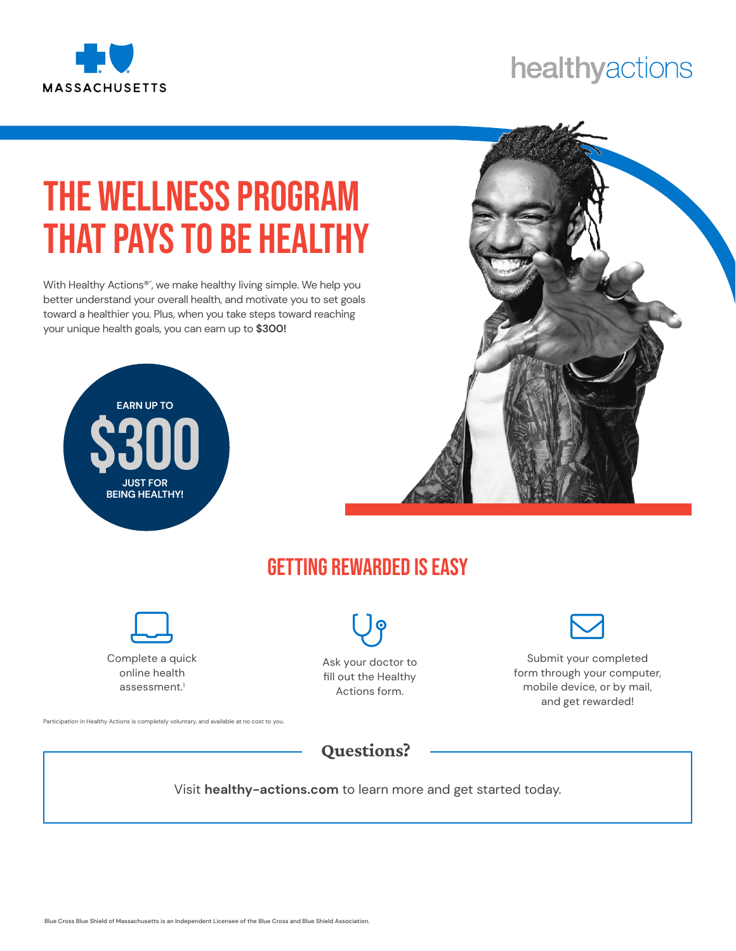

## healthyactions

## The Wellness Program That pays to be Healthy

With Healthy Actions<sup>®</sup>', we make healthy living simple. We help you better understand your overall health, and motivate you to set goals toward a healthier you. Plus, when you take steps toward reaching your unique health goals, you can earn up to **\$300!**





## Getting Rewarded is Easy



Complete a quick online health assessment.<sup>1</sup>

Participation in Healthy Actions is completely voluntary, and available at no cost to you.



Ask your doctor to fill out the Healthy Actions form.



Submit your completed form through your computer, mobile device, or by mail, and get rewarded!

Questions?

Visit **healthy-actions.com** to learn more and get started today.